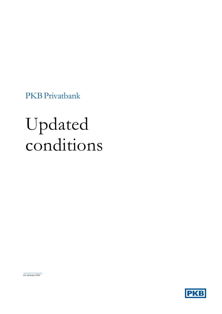PKBPrivatbank

# Updated conditions

*1st January 2022*

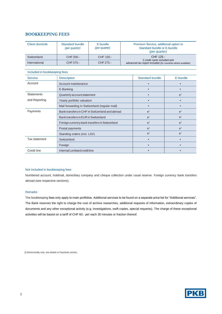#### **BOOKKEEPING FEES**

| Client domicile | Standard bundle<br>(per quarter) | E-bundle<br>(per quarter) | Premium Service, additional option to<br>Standard bundle or E-bundle<br>(per quarter)       |
|-----------------|----------------------------------|---------------------------|---------------------------------------------------------------------------------------------|
| Switzerland     | CHF 200.-                        | CHF 150.-                 | CHF 125.                                                                                    |
| International   | CHF 375.-                        | CHF 275.-                 | 2 credit cards included and<br>advanced tax report included (for countries where available) |

| Included in bookkeeping fees |                                                 |                        |                |  |
|------------------------------|-------------------------------------------------|------------------------|----------------|--|
| <b>Service</b>               | <b>Description</b>                              | <b>Standard bundle</b> | E-bundle       |  |
| Account                      | Account maintenance                             | ٠                      |                |  |
|                              | E-Banking                                       |                        |                |  |
| <b>Statements</b>            | Quarterly account statement                     |                        | e <sup>1</sup> |  |
| and Reporting                | Yearly portfolio valuation                      |                        |                |  |
|                              | Mail forwarding in Switzerland (regular mail)   |                        |                |  |
| Payments                     | Bank transfers in CHF in Switzerland and abroad | e <sup>1</sup>         | e <sup>1</sup> |  |
|                              | Bank transfers in EUR in Switzerland            | e <sup>1</sup>         | e <sup>1</sup> |  |
|                              | Foreign currency bank transfers in Switzerland  | e <sup>1</sup>         | e <sup>1</sup> |  |
|                              | Postal payments                                 | e <sup>1</sup>         | e <sup>1</sup> |  |
|                              | Standing orders (incl. LSV)                     | e <sup>1</sup>         | e <sup>1</sup> |  |
| Tax statement                | Switzerland                                     | ٠                      |                |  |
|                              | Foreign                                         | ٠                      |                |  |
| Credit line                  | Internal Lombard credit line                    |                        |                |  |

#### Not included in bookkeeping fees

Numbered account, holdmail, domiciliary company and cheque collection under usual reserve. Foreign currency bank transfers abroad (see respective sections).

#### Remarks

The bookkeeping fees only apply to main portfolios. Additional services to be found on a separate price list for "Additional services". The Bank reserves the right to charge the cost of archive researches, additional requests of information, extraordinary copies of documents and any other exceptional activity (e.g. investigations, swift copies, special requests). The charge of these exceptional activities will be based on a tariff of CHF 60.- per each 30 minutes or fraction thereof.

1) Electronically only, see details in Payments section.

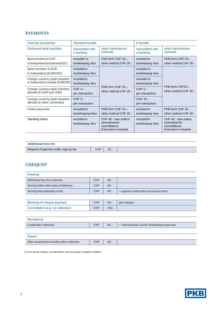# **PAYMENTS**

| Cost per transaction            | <b>Standard bundle</b>                 |                                                                               | E-bundle                               |                                                                              |
|---------------------------------|----------------------------------------|-------------------------------------------------------------------------------|----------------------------------------|------------------------------------------------------------------------------|
| <b>Outbound bank transfers</b>  | transmitted with<br>e-banking          | other transmission<br>methods                                                 | transmitted with<br>e-banking          | other transmission<br>methods                                                |
| Banktransfers in CHF            | included in                            | PKB form CHF 10.-,                                                            | <i>included in</i>                     | PKB form CHF 20.-,                                                           |
| in Switzerland and abroad (SIC) | bookkeeping fees                       | other method CHF 20.-                                                         | bookkeeping fees                       | other method CHF 30.-                                                        |
| Bank transfers in EUR           | <i>included in</i>                     |                                                                               | <i>included in</i>                     |                                                                              |
| in Switzerland (EUROSIC)        | bookkeeping fees                       |                                                                               | bookkeeping fees                       |                                                                              |
| Foreign currency bank transfers | <i>included in</i>                     |                                                                               | <i>included in</i>                     | PKB form CHF25.-,<br>other method CHF 35.-                                   |
| in Switzerland outside EUROSIC  | bookkeeping fees                       |                                                                               | bookkeeping fees                       |                                                                              |
| Foreign currency bank transfers | <b>CHF 4.-</b>                         | PKB form CHF 15.-,<br>other method CHF 25.-                                   | CHF 5.-                                |                                                                              |
| abroad (in EUR and USD)         | per transaction                        |                                                                               | per transaction                        |                                                                              |
| Foreign currency bank transfers | $CHF 6. -$                             |                                                                               | CHF 10.-                               |                                                                              |
| abroad (in other currencies)    | per transaction                        |                                                                               | per transaction                        |                                                                              |
| Postal payments                 | Included in                            | PKB form CHF 10.-,                                                            | <i>included in</i>                     | PKB form CHF 20.-,                                                           |
|                                 | bookkeeping fees                       | other method CHF 20.-                                                         | bookkeeping fees                       | other method CHF 30.-                                                        |
| Standing orders                 | <i>included in</i><br>bookkeeping fees | CHF 40.- new orders/<br>amendments/<br>cancellations.<br>Executions included. | <i>included in</i><br>bookkeeping fees | CHF 40.- new orders<br>amendments/<br>cancellations.<br>Executions included. |

| <b>Additional fees for</b>           |     |         |  |
|--------------------------------------|-----|---------|--|
| Request of payment order copy by fax | CHF | $20. -$ |  |

# **CHEQUES<sup>1</sup>**

| <b>Drawing</b>                              |            |         |                                             |
|---------------------------------------------|------------|---------|---------------------------------------------|
| Withdrawn by the customer                   | <b>CHF</b> | $60 -$  |                                             |
| Sent by letter with notice of delivery      | <b>CHF</b> | $60 -$  |                                             |
| Sent by international courier               | <b>CHF</b> | $60 -$  | + express mail and/or insurance costs       |
|                                             |            |         |                                             |
| Blocking of cheque payment                  | <b>CHF</b> | $60.-$  | per cheque                                  |
| Cancellation (e.g. no collection)           | <b>CHF</b> | $200 -$ |                                             |
|                                             |            |         |                                             |
| Remittance                                  |            |         |                                             |
| Credit after collection                     | <b>CHF</b> | $60 -$  | + international courier forwarding expenses |
|                                             |            |         |                                             |
| Return                                      |            |         |                                             |
| After usual reserve and/or after collection | <b>CHF</b> | $60 -$  |                                             |

1) Fees are per cheque, correspondents costs are always charged in addition.